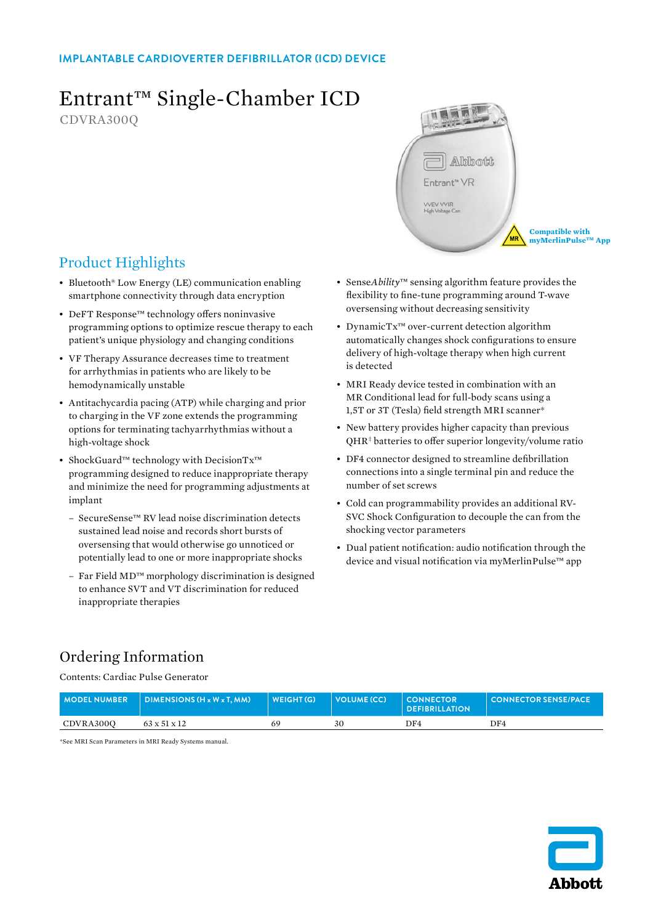#### **IMPLANTABLE CARDIOVERTER DEFIBRILLATOR (ICD) DEVICE**

# Entrant™ Single-Chamber ICD

CDVRA300Q



## Product Highlights

- Bluetooth® Low Energy (LE) communication enabling smartphone connectivity through data encryption
- DeFT Response™ technology offers noninvasive programming options to optimize rescue therapy to each patient's unique physiology and changing conditions
- VF Therapy Assurance decreases time to treatment for arrhythmias in patients who are likely to be hemodynamically unstable
- Antitachycardia pacing (ATP) while charging and prior to charging in the VF zone extends the programming options for terminating tachyarrhythmias without a high-voltage shock
- ShockGuard™ technology with DecisionTx™ programming designed to reduce inappropriate therapy and minimize the need for programming adjustments at implant
	- SecureSense™ RV lead noise discrimination detects sustained lead noise and records short bursts of oversensing that would otherwise go unnoticed or potentially lead to one or more inappropriate shocks
	- Far Field MD™ morphology discrimination is designed to enhance SVT and VT discrimination for reduced inappropriate therapies
- Sense*Ability*™ sensing algorithm feature provides the flexibility to fine-tune programming around T-wave oversensing without decreasing sensitivity
- DynamicTx™ over-current detection algorithm automatically changes shock configurations to ensure delivery of high-voltage therapy when high current is detected
- MRI Ready device tested in combination with an MR Conditional lead for full-body scans using a 1,5T or 3T (Tesla) field strength MRI scanner\*
- New battery provides higher capacity than previous QHR<sup>‡</sup> batteries to offer superior longevity/volume ratio
- DF4 connector designed to streamline defibrillation connections into a single terminal pin and reduce the number of set screws
- Cold can programmability provides an additional RV-SVC Shock Configuration to decouple the can from the shocking vector parameters
- Dual patient notification: audio notification through the device and visual notification via myMerlinPulse™ app

## Ordering Information

Contents: Cardiac Pulse Generator

|           | $MOPEL NUMBER$ DIMENSIONS (H x W x T, MM) | WEIGHT (G) | $\vert$ VOLUME (CC) | $\blacksquare$ CONNECTOR<br><b>DEFIBRILLATION</b> | <b>LI CONNECTOR SENSE/PACE</b> |
|-----------|-------------------------------------------|------------|---------------------|---------------------------------------------------|--------------------------------|
| CDVRA3000 | $63 \times 51 \times 12$                  |            | 30                  | DF4                                               | DF4                            |

\*See MRI Scan Parameters in MRI Ready Systems manual.